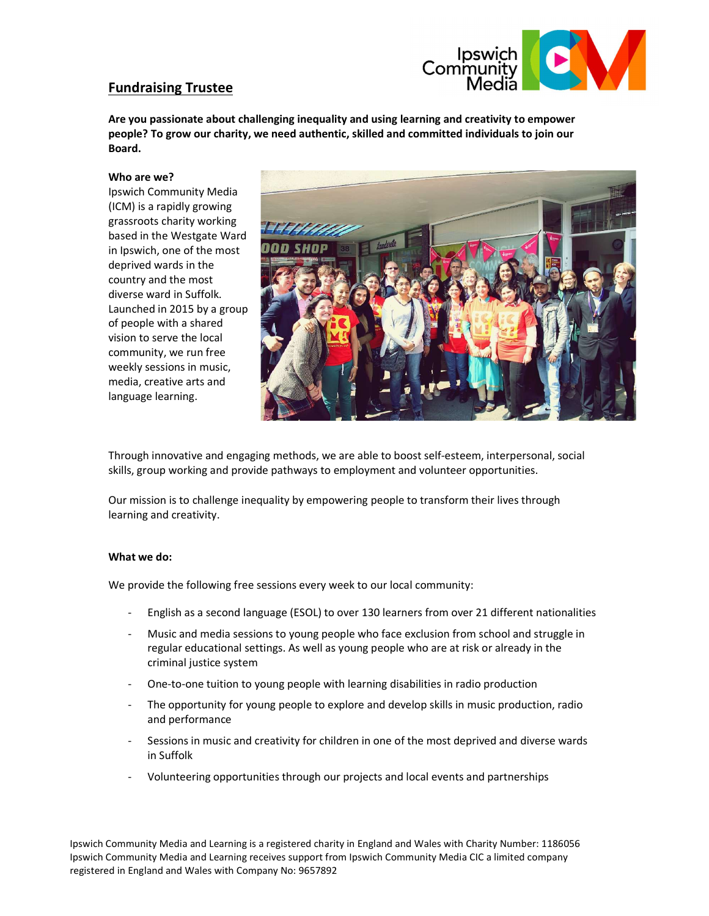

# Fundraising Trustee

Are you passionate about challenging inequality and using learning and creativity to empower people? To grow our charity, we need authentic, skilled and committed individuals to join our Board.

#### Who are we?

Ipswich Community Media (ICM) is a rapidly growing grassroots charity working based in the Westgate Ward in Ipswich, one of the most deprived wards in the country and the most diverse ward in Suffolk. Launched in 2015 by a group of people with a shared vision to serve the local community, we run free weekly sessions in music, media, creative arts and language learning.



Through innovative and engaging methods, we are able to boost self-esteem, interpersonal, social skills, group working and provide pathways to employment and volunteer opportunities.

Our mission is to challenge inequality by empowering people to transform their lives through learning and creativity.

## What we do:

We provide the following free sessions every week to our local community:

- English as a second language (ESOL) to over 130 learners from over 21 different nationalities
- Music and media sessions to young people who face exclusion from school and struggle in regular educational settings. As well as young people who are at risk or already in the criminal justice system
- One-to-one tuition to young people with learning disabilities in radio production
- The opportunity for young people to explore and develop skills in music production, radio and performance
- Sessions in music and creativity for children in one of the most deprived and diverse wards in Suffolk
- Volunteering opportunities through our projects and local events and partnerships

Ipswich Community Media and Learning is a registered charity in England and Wales with Charity Number: 1186056 Ipswich Community Media and Learning receives support from Ipswich Community Media CIC a limited company registered in England and Wales with Company No: 9657892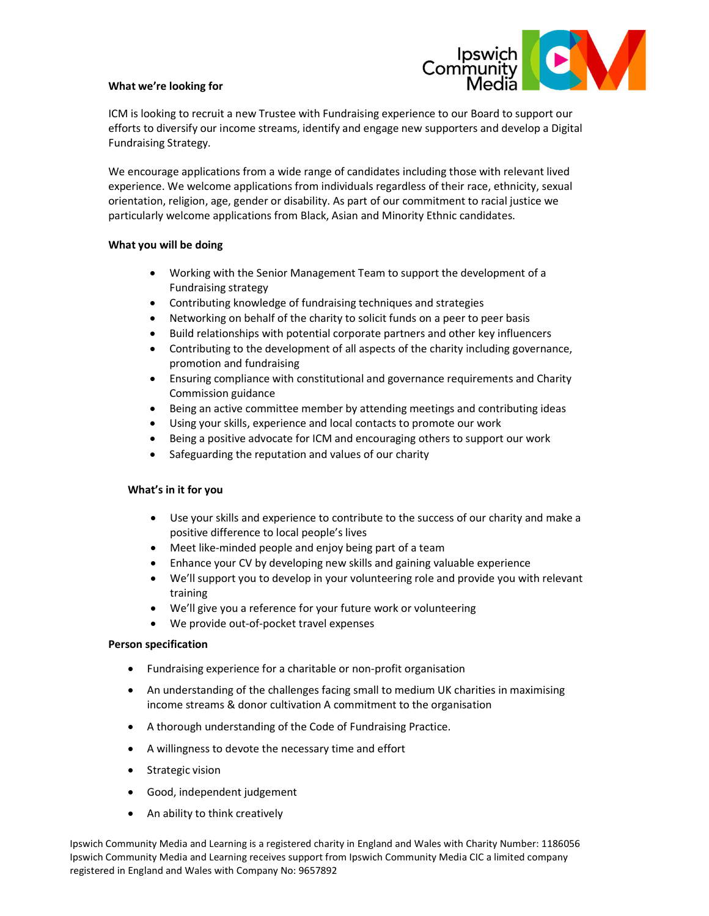## What we're looking for



ICM is looking to recruit a new Trustee with Fundraising experience to our Board to support our efforts to diversify our income streams, identify and engage new supporters and develop a Digital Fundraising Strategy.

We encourage applications from a wide range of candidates including those with relevant lived experience. We welcome applications from individuals regardless of their race, ethnicity, sexual orientation, religion, age, gender or disability. As part of our commitment to racial justice we particularly welcome applications from Black, Asian and Minority Ethnic candidates.

## What you will be doing

- Working with the Senior Management Team to support the development of a Fundraising strategy
- Contributing knowledge of fundraising techniques and strategies
- Networking on behalf of the charity to solicit funds on a peer to peer basis
- Build relationships with potential corporate partners and other key influencers
- Contributing to the development of all aspects of the charity including governance, promotion and fundraising
- Ensuring compliance with constitutional and governance requirements and Charity Commission guidance
- Being an active committee member by attending meetings and contributing ideas
- Using your skills, experience and local contacts to promote our work
- Being a positive advocate for ICM and encouraging others to support our work
- Safeguarding the reputation and values of our charity

## What's in it for you

- Use your skills and experience to contribute to the success of our charity and make a positive difference to local people's lives
- Meet like-minded people and enjoy being part of a team
- Enhance your CV by developing new skills and gaining valuable experience
- We'll support you to develop in your volunteering role and provide you with relevant training
- We'll give you a reference for your future work or volunteering
- We provide out-of-pocket travel expenses

## Person specification

- Fundraising experience for a charitable or non-profit organisation
- An understanding of the challenges facing small to medium UK charities in maximising income streams & donor cultivation A commitment to the organisation
- A thorough understanding of the Code of Fundraising Practice.
- A willingness to devote the necessary time and effort
- Strategic vision
- Good, independent judgement
- An ability to think creatively

Ipswich Community Media and Learning is a registered charity in England and Wales with Charity Number: 1186056 Ipswich Community Media and Learning receives support from Ipswich Community Media CIC a limited company registered in England and Wales with Company No: 9657892